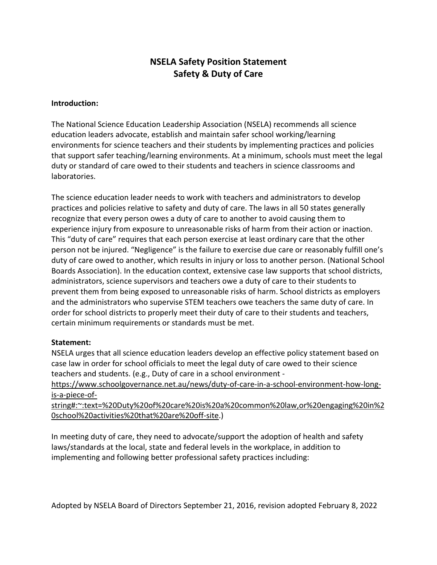# **NSELA Safety Position Statement Safety & Duty of Care**

#### **Introduction:**

The National Science Education Leadership Association (NSELA) recommends all science education leaders advocate, establish and maintain safer school working/learning environments for science teachers and their students by implementing practices and policies that support safer teaching/learning environments. At a minimum, schools must meet the legal duty or standard of care owed to their students and teachers in science classrooms and laboratories.

The science education leader needs to work with teachers and administrators to develop practices and policies relative to safety and duty of care. The laws in all 50 states generally recognize that every person owes a duty of care to another to avoid causing them to experience injury from exposure to unreasonable risks of harm from their action or inaction. This "duty of care" requires that each person exercise at least ordinary care that the other person not be injured. "Negligence" is the failure to exercise due care or reasonably fulfill one's duty of care owed to another, which results in injury or loss to another person. (National School Boards Association). In the education context, extensive case law supports that school districts, administrators, science supervisors and teachers owe a duty of care to their students to prevent them from being exposed to unreasonable risks of harm. School districts as employers and the administrators who supervise STEM teachers owe teachers the same duty of care. In order for school districts to properly meet their duty of care to their students and teachers, certain minimum requirements or standards must be met.

#### **Statement:**

NSELA urges that all science education leaders develop an effective policy statement based on case law in order for school officials to meet the legal duty of care owed to their science teachers and students. (e.g., Duty of care in a school environment -

[https://www.schoolgovernance.net.au/news/duty-of-care-in-a-school-environment-how-long](https://www.schoolgovernance.net.au/news/duty-of-care-in-a-school-environment-how-long-is-a-piece-of-string#:%7E:text=%20Duty%20of%20care%20is%20a%20common%20law,or%20engaging%20in%20school%20activities%20that%20are%20off-site)[is-a-piece-of-](https://www.schoolgovernance.net.au/news/duty-of-care-in-a-school-environment-how-long-is-a-piece-of-string#:%7E:text=%20Duty%20of%20care%20is%20a%20common%20law,or%20engaging%20in%20school%20activities%20that%20are%20off-site)

[string#:~:text=%20Duty%20of%20care%20is%20a%20common%20law,or%20engaging%20in%2](https://www.schoolgovernance.net.au/news/duty-of-care-in-a-school-environment-how-long-is-a-piece-of-string#:%7E:text=%20Duty%20of%20care%20is%20a%20common%20law,or%20engaging%20in%20school%20activities%20that%20are%20off-site) [0school%20activities%20that%20are%20off-site.](https://www.schoolgovernance.net.au/news/duty-of-care-in-a-school-environment-how-long-is-a-piece-of-string#:%7E:text=%20Duty%20of%20care%20is%20a%20common%20law,or%20engaging%20in%20school%20activities%20that%20are%20off-site))

In meeting duty of care, they need to advocate/support the adoption of health and safety laws/standards at the local, state and federal levels in the workplace, in addition to implementing and following better professional safety practices including: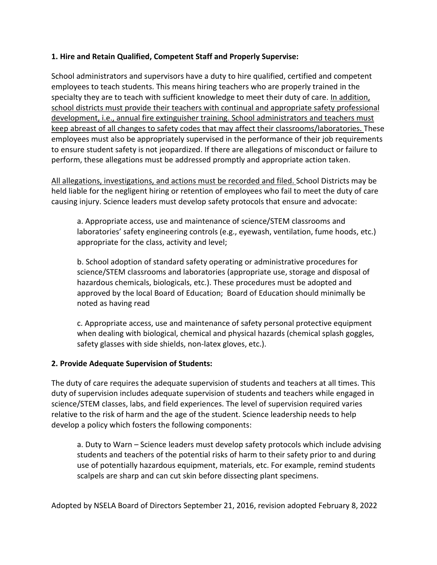## **1. Hire and Retain Qualified, Competent Staff and Properly Supervise:**

School administrators and supervisors have a duty to hire qualified, certified and competent employees to teach students. This means hiring teachers who are properly trained in the specialty they are to teach with sufficient knowledge to meet their duty of care. In addition, school districts must provide their teachers with continual and appropriate safety professional development, i.e., annual fire extinguisher training. School administrators and teachers must keep abreast of all changes to safety codes that may affect their classrooms/laboratories. These employees must also be appropriately supervised in the performance of their job requirements to ensure student safety is not jeopardized. If there are allegations of misconduct or failure to perform, these allegations must be addressed promptly and appropriate action taken.

All allegations, investigations, and actions must be recorded and filed. School Districts may be held liable for the negligent hiring or retention of employees who fail to meet the duty of care causing injury. Science leaders must develop safety protocols that ensure and advocate:

a. Appropriate access, use and maintenance of science/STEM classrooms and laboratories' safety engineering controls (e.g., eyewash, ventilation, fume hoods, etc.) appropriate for the class, activity and level;

b. School adoption of standard safety operating or administrative procedures for science/STEM classrooms and laboratories (appropriate use, storage and disposal of hazardous chemicals, biologicals, etc.). These procedures must be adopted and approved by the local Board of Education; Board of Education should minimally be noted as having read

c. Appropriate access, use and maintenance of safety personal protective equipment when dealing with biological, chemical and physical hazards (chemical splash goggles, safety glasses with side shields, non-latex gloves, etc.).

# **2. Provide Adequate Supervision of Students:**

The duty of care requires the adequate supervision of students and teachers at all times. This duty of supervision includes adequate supervision of students and teachers while engaged in science/STEM classes, labs, and field experiences. The level of supervision required varies relative to the risk of harm and the age of the student. Science leadership needs to help develop a policy which fosters the following components:

a. Duty to Warn – Science leaders must develop safety protocols which include advising students and teachers of the potential risks of harm to their safety prior to and during use of potentially hazardous equipment, materials, etc. For example, remind students scalpels are sharp and can cut skin before dissecting plant specimens.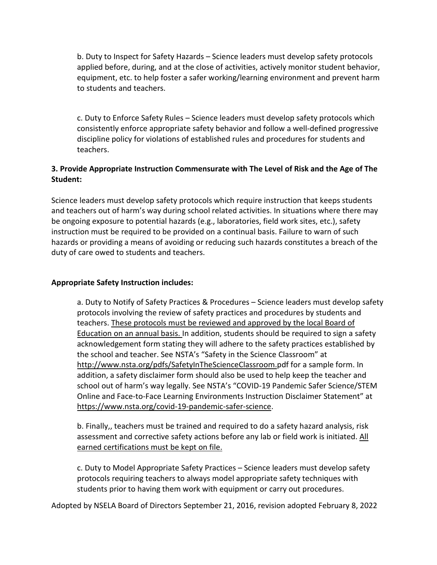b. Duty to Inspect for Safety Hazards – Science leaders must develop safety protocols applied before, during, and at the close of activities, actively monitor student behavior, equipment, etc. to help foster a safer working/learning environment and prevent harm to students and teachers.

c. Duty to Enforce Safety Rules – Science leaders must develop safety protocols which consistently enforce appropriate safety behavior and follow a well-defined progressive discipline policy for violations of established rules and procedures for students and teachers.

# **3. Provide Appropriate Instruction Commensurate with The Level of Risk and the Age of The Student:**

Science leaders must develop safety protocols which require instruction that keeps students and teachers out of harm's way during school related activities. In situations where there may be ongoing exposure to potential hazards (e.g., laboratories, field work sites, etc.), safety instruction must be required to be provided on a continual basis. Failure to warn of such hazards or providing a means of avoiding or reducing such hazards constitutes a breach of the duty of care owed to students and teachers.

## **Appropriate Safety Instruction includes:**

a. Duty to Notify of Safety Practices & Procedures – Science leaders must develop safety protocols involving the review of safety practices and procedures by students and teachers. These protocols must be reviewed and approved by the local Board of Education on an annual basis. In addition, students should be required to sign a safety acknowledgement form stating they will adhere to the safety practices established by the school and teacher. See NSTA's "Safety in the Science Classroom" at [http://www.nsta.org/pdfs/SafetyInTheScienceClassroom.p](http://www.nsta.org/pdfs/SafetyInTheScienceClassroom.)df for a sample form. In addition, a safety disclaimer form should also be used to help keep the teacher and school out of harm's way legally. See NSTA's "COVID-19 Pandemic Safer Science/STEM Online and Face-to-Face Learning Environments Instruction Disclaimer Statement" at [https://www.nsta.org/covid-19-pandemic-safer-science.](https://www.nsta.org/covid-19-pandemic-safer-science)

b. Finally,, teachers must be trained and required to do a safety hazard analysis, risk assessment and corrective safety actions before any lab or field work is initiated. All earned certifications must be kept on file.

c. Duty to Model Appropriate Safety Practices – Science leaders must develop safety protocols requiring teachers to always model appropriate safety techniques with students prior to having them work with equipment or carry out procedures.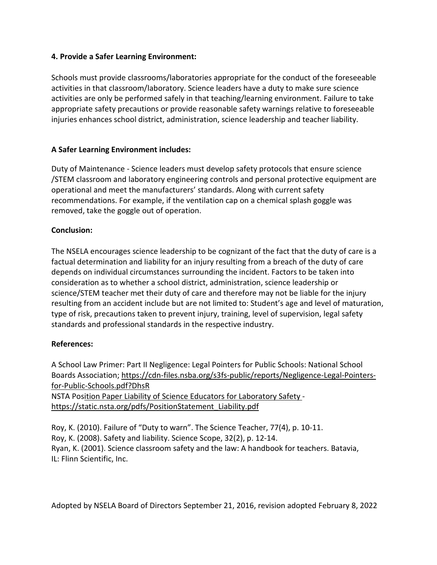## **4. Provide a Safer Learning Environment:**

Schools must provide classrooms/laboratories appropriate for the conduct of the foreseeable activities in that classroom/laboratory. Science leaders have a duty to make sure science activities are only be performed safely in that teaching/learning environment. Failure to take appropriate safety precautions or provide reasonable safety warnings relative to foreseeable injuries enhances school district, administration, science leadership and teacher liability.

# **A Safer Learning Environment includes:**

Duty of Maintenance - Science leaders must develop safety protocols that ensure science /STEM classroom and laboratory engineering controls and personal protective equipment are operational and meet the manufacturers' standards. Along with current safety recommendations. For example, if the ventilation cap on a chemical splash goggle was removed, take the goggle out of operation.

# **Conclusion:**

The NSELA encourages science leadership to be cognizant of the fact that the duty of care is a factual determination and liability for an injury resulting from a breach of the duty of care depends on individual circumstances surrounding the incident. Factors to be taken into consideration as to whether a school district, administration, science leadership or science/STEM teacher met their duty of care and therefore may not be liable for the injury resulting from an accident include but are not limited to: Student's age and level of maturation, type of risk, precautions taken to prevent injury, training, level of supervision, legal safety standards and professional standards in the respective industry.

# **References:**

A School Law Primer: Part II Negligence: Legal Pointers for Public Schools: National School Boards Association; [https://cdn-files.nsba.org/s3fs-public/reports/Negligence-Legal-Pointers](https://cdn-files.nsba.org/s3fs-public/reports/Negligence-Legal-Pointers-for-Public-Schools.pdf?DhsR)[for-Public-Schools.pdf?DhsR](https://cdn-files.nsba.org/s3fs-public/reports/Negligence-Legal-Pointers-for-Public-Schools.pdf?DhsR) NSTA Position Paper Liability of Science Educators for Laboratory Safety -

[https://static.nsta.org/pdfs/PositionStatement\\_Liability.pdf](https://static.nsta.org/pdfs/PositionStatement_Liability.pdf)

Roy, K. (2010). Failure of "Duty to warn". The Science Teacher, 77(4), p. 10-11. Roy, K. (2008). Safety and liability. Science Scope, 32(2), p. 12-14. Ryan, K. (2001). Science classroom safety and the law: A handbook for teachers. Batavia, IL: Flinn Scientific, Inc.